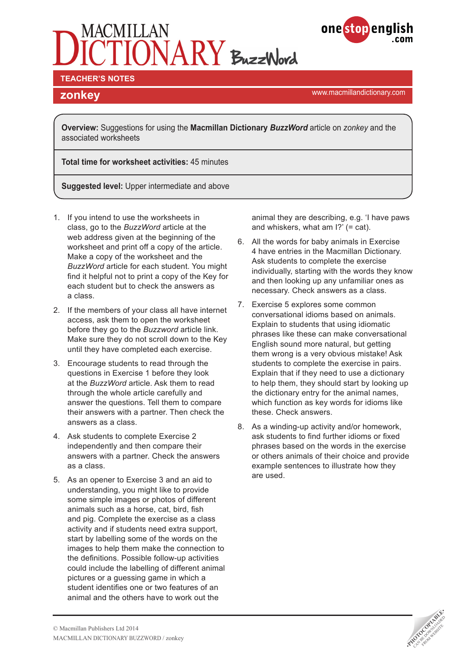# $\overline{ONARY}$  BuzzWord



#### **TEACHER'S NOTES**

<www.macmillandictionary.com> **zonkey**

**Overview:** Suggestions for using the **Macmillan Dictionary** *BuzzWord* article on *zonkey* and the associated worksheets

**Total time for worksheet activities:** 45 minutes

**Suggested level:** Upper intermediate and above

- 1. If you intend to use the worksheets in class, go to the *BuzzWord* article at the web address given at the beginning of the worksheet and print off a copy of the article. Make a copy of the worksheet and the *BuzzWord* article for each student. You might find it helpful not to print a copy of the Key for each student but to check the answers as a class.
- 2. If the members of your class all have internet access, ask them to open the worksheet before they go to the *Buzzword* article link. Make sure they do not scroll down to the Key until they have completed each exercise.
- 3. Encourage students to read through the questions in Exercise 1 before they look at the *BuzzWord* article. Ask them to read through the whole article carefully and answer the questions. Tell them to compare their answers with a partner. Then check the answers as a class.
- 4. Ask students to complete Exercise 2 independently and then compare their answers with a partner. Check the answers as a class.
- 5. As an opener to Exercise 3 and an aid to understanding, you might like to provide some simple images or photos of different animals such as a horse, cat, bird, fish and pig. Complete the exercise as a class activity and if students need extra support, start by labelling some of the words on the images to help them make the connection to the definitions. Possible follow-up activities could include the labelling of different animal pictures or a guessing game in which a student identifies one or two features of an animal and the others have to work out the

animal they are describing, e.g. 'I have paws and whiskers, what am I?' (= cat).

- 6. All the words for baby animals in Exercise 4 have entries in the Macmillan Dictionary. Ask students to complete the exercise individually, starting with the words they know and then looking up any unfamiliar ones as necessary. Check answers as a class.
- 7. Exercise 5 explores some common conversational idioms based on animals. Explain to students that using idiomatic phrases like these can make conversational English sound more natural, but getting them wrong is a very obvious mistake! Ask students to complete the exercise in pairs. Explain that if they need to use a dictionary to help them, they should start by looking up the dictionary entry for the animal names, which function as key words for idioms like these. Check answers.
- 8. As a winding-up activity and/or homework, ask students to find further idioms or fixed phrases based on the words in the exercise or others animals of their choice and provide example sentences to illustrate how they are used.

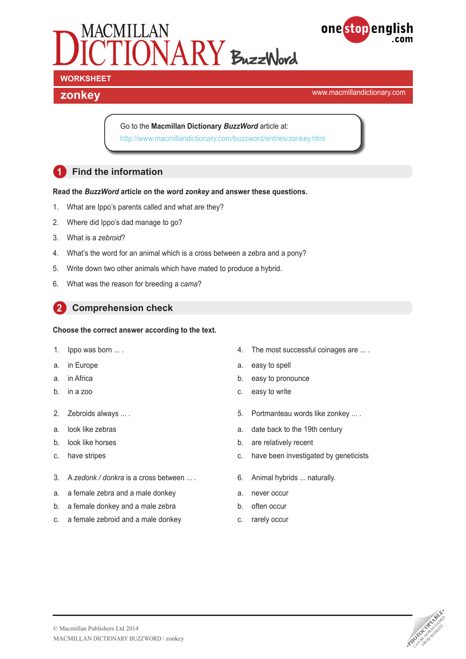



## **WORKSHEET**

## <www.macmillandictionary.com> **zonkey**

Go to the **Macmillan Dictionary** *BuzzWord* article at: <http://www.macmillandictionary.com/buzzword/entries/zonkey.html>

## **1 Find the information**

#### **Read the** *BuzzWord* **article on the word** *zonkey* **and answer these questions.**

- 1. What are Ippo's parents called and what are they?
- 2. Where did Ippo's dad manage to go?
- 3. What is a *zebroid*?
- 4. What's the word for an animal which is a cross between a zebra and a pony?
- 5. Write down two other animals which have mated to produce a hybrid.
- 6. What was the reason for breeding a *cama*?

#### **2 Comprehension check**

#### **Choose the correct answer according to the text.**

- 1. Ippo was born ... .
- a. in Europe
- a. in Africa
- b. in a zoo
- 2. Zebroids always ... .
- a. look like zebras
- b. look like horses
- c. have stripes
- 3. A *zedonk / donkra* is a cross between ... .
- a. a female zebra and a male donkey
- b. a female donkey and a male zebra
- c. a female zebroid and a male donkey
- 4. The most successful coinages are ... .
- a. easy to spell
- b. easy to pronounce
- c. easy to write
- 5. Portmanteau words like zonkey ... .
- a. date back to the 19th century
- b. are relatively recent
- c. have been investigated by geneticists
- 6. Animal hybrids ... naturally.
- a. never occur
- b. often occur
- c. rarely occur

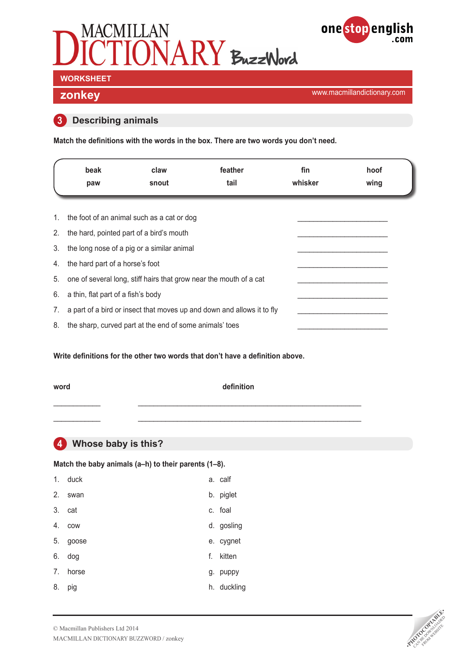



# **WORKSHEET**

<www.macmillandictionary.com> **zonkey**

#### **3 Describing animals**

**Match the definitions with the words in the box. There are two words you don't need.**

|    | beak<br>paw                           | claw<br>snout                                                      | feather<br>tail                                                        | fin<br>whisker | hoof<br>wing |
|----|---------------------------------------|--------------------------------------------------------------------|------------------------------------------------------------------------|----------------|--------------|
| 1. |                                       | the foot of an animal such as a cat or dog                         |                                                                        |                |              |
| 2. |                                       | the hard, pointed part of a bird's mouth                           |                                                                        |                |              |
| 3. |                                       | the long nose of a pig or a similar animal                         |                                                                        |                |              |
| 4. | the hard part of a horse's foot       |                                                                    |                                                                        |                |              |
| 5. |                                       | one of several long, stiff hairs that grow near the mouth of a cat |                                                                        |                |              |
|    | 6. a thin, flat part of a fish's body |                                                                    |                                                                        |                |              |
| 7. |                                       |                                                                    | a part of a bird or insect that moves up and down and allows it to fly |                |              |
| 8. |                                       | the sharp, curved part at the end of some animals' toes            |                                                                        |                |              |

**Write definitions for the other two words that don't have a definition above.**

#### **word definition**

\_\_\_\_\_\_\_\_\_\_\_\_ \_\_\_\_\_\_\_\_\_\_\_\_\_\_\_\_\_\_\_\_\_\_\_\_\_\_\_\_\_\_\_\_\_\_\_\_\_\_\_\_\_\_\_\_\_\_\_\_\_\_\_\_\_\_\_\_\_  $\_$  ,  $\_$  ,  $\_$  ,  $\_$  ,  $\_$  ,  $\_$  ,  $\_$  ,  $\_$  ,  $\_$  ,  $\_$  ,  $\_$  ,  $\_$  ,  $\_$  ,  $\_$  ,  $\_$  ,  $\_$  ,  $\_$  ,  $\_$  ,  $\_$  ,  $\_$  ,  $\_$  ,  $\_$  ,  $\_$  ,  $\_$  ,  $\_$  ,  $\_$  ,  $\_$  ,  $\_$  ,  $\_$  ,  $\_$  ,  $\_$  ,  $\_$  ,  $\_$  ,  $\_$  ,  $\_$  ,  $\_$  ,  $\_$  ,

#### **4 Whose baby is this?**

Match the baby animals (a-h) to their parents (1-8).

| 1. | duck   |    | a. calf     |
|----|--------|----|-------------|
| 2. | swan   |    | b. piglet   |
|    | 3. cat |    | c. foal     |
| 4. | COW    |    | d. gosling  |
| 5. | goose  |    | e. cygnet   |
| 6. | dog    | f. | kitten      |
| 7. | horse  |    | g. puppy    |
| 8. | pig    |    | h. duckling |

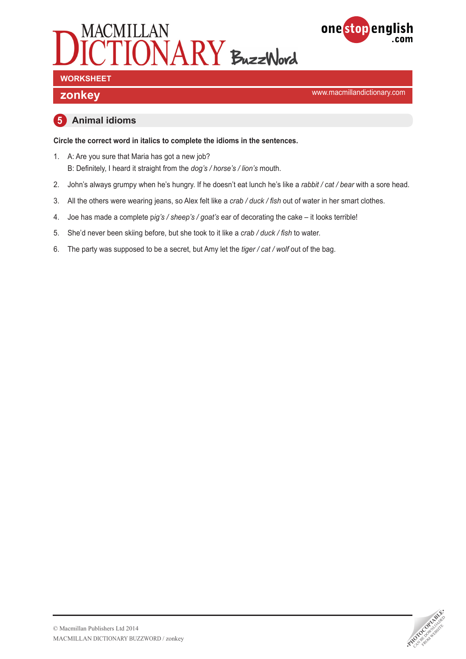



<www.macmillandictionary.com> **zonkey**

#### **5 Animal idioms**

**Circle the correct word in italics to complete the idioms in the sentences.**

- 1. A: Are you sure that Maria has got a new job? B: Definitely, I heard it straight from the *dog's / horse's / lion's* mouth.
- 2. John's always grumpy when he's hungry. If he doesn't eat lunch he's like a *rabbit / cat / bear* with a sore head.
- 3. All the others were wearing jeans, so Alex felt like a *crab / duck / fish* out of water in her smart clothes.
- 4. Joe has made a complete p*ig's / sheep's / goat's* ear of decorating the cake it looks terrible!
- 5. She'd never been skiing before, but she took to it like a *crab / duck / fish* to water.
- 6. The party was supposed to be a secret, but Amy let the *tiger / cat / wolf* out of the bag.